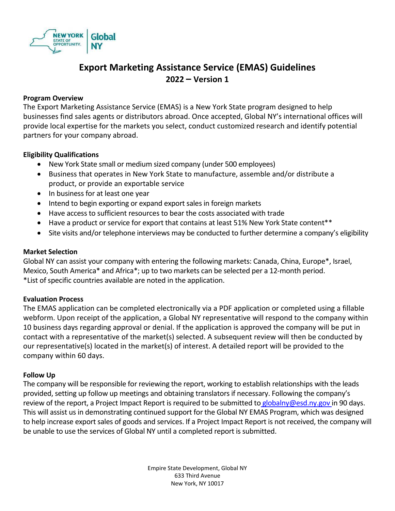

# **Export Marketing Assistance Service (EMAS) Guidelines 2022 – Version 1**

#### **Program Overview**

The Export Marketing Assistance Service (EMAS) is a New York State program designed to help businesses find sales agents or distributors abroad. Once accepted, Global NY's international offices will provide local expertise for the markets you select, conduct customized research and identify potential partners for your company abroad.

#### **Eligibility Qualifications**

- New York State small or medium sized company (under 500 employees)
- Business that operates in New York State to manufacture, assemble and/or distribute a product, or provide an exportable service
- In business for at least one year
- Intend to begin exporting or expand export sales in foreign markets
- Have access to sufficient resources to bear the costs associated with trade
- Have a product or service for export that contains at least 51% New York State content\*\*
- Site visits and/or telephone interviews may be conducted to further determine a company's eligibility

### **Market Selection**

Global NY can assist your company with entering the following markets: Canada, China, Europe\*, Israel, Mexico, South America\* and Africa\*; up to two markets can be selected per a 12-month period. \*List of specific countries available are noted in the application.

#### **Evaluation Process**

The EMAS application can be completed electronically via a PDF application or completed using a fillable webform. Upon receipt of the application, a Global NY representative will respond to the company within 10 business days regarding approval or denial. If the application is approved the company will be put in contact with a representative of the market(s) selected. A subsequent review will then be conducted by our representative(s) located in the market(s) of interest. A detailed report will be provided to the company within 60 days.

#### **Follow Up**

The company will be responsible for reviewing the report, working to establish relationships with the leads provided, setting up follow up meetings and obtaining translators if necessary. Following the company's review of the report, a Project Impact Report is required to be submitted to [globalny@esd.ny.gov](mailto:globalny@esd.ny.gov) in 90 days. This will assist us in demonstrating continued support for the Global NY EMAS Program, which was designed to help increase export sales of goods and services. If a Project Impact Report is not received, the company will be unable to use the services of Global NY until a completed report is submitted.

> Empire State Development, Global NY 633 Third Avenue New York, NY 10017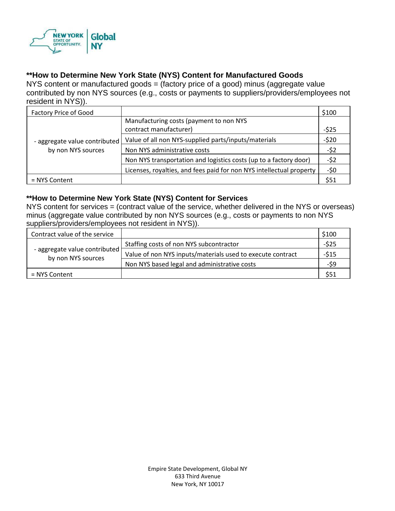

## **\*\*How to Determine New York State (NYS) Content for Manufactured Goods**

NYS content or manufactured goods = (factory price of a good) minus (aggregate value contributed by non NYS sources (e.g., costs or payments to suppliers/providers/employees not resident in NYS)).

| <b>Factory Price of Good</b>                        |                                                                      | \$100  |
|-----------------------------------------------------|----------------------------------------------------------------------|--------|
| - aggregate value contributed<br>by non NYS sources | Manufacturing costs (payment to non NYS<br>contract manufacturer)    | $-525$ |
|                                                     | Value of all non NYS-supplied parts/inputs/materials                 | $-520$ |
|                                                     | Non NYS administrative costs                                         | $-52$  |
|                                                     | Non NYS transportation and logistics costs (up to a factory door)    | $-52$  |
|                                                     | Licenses, royalties, and fees paid for non NYS intellectual property | -\$0   |
| = NYS Content                                       |                                                                      | \$51   |

#### **\*\*How to Determine New York State (NYS) Content for Services**

NYS content for services = (contract value of the service, whether delivered in the NYS or overseas) minus (aggregate value contributed by non NYS sources (e.g., costs or payments to non NYS suppliers/providers/employees not resident in NYS)).

| Contract value of the service                       |                                                            | \$100  |
|-----------------------------------------------------|------------------------------------------------------------|--------|
| - aggregate value contributed<br>by non NYS sources | Staffing costs of non NYS subcontractor                    | $-525$ |
|                                                     | Value of non NYS inputs/materials used to execute contract | $-515$ |
|                                                     | Non NYS based legal and administrative costs               | -\$9   |
| = NYS Content                                       |                                                            | \$51   |